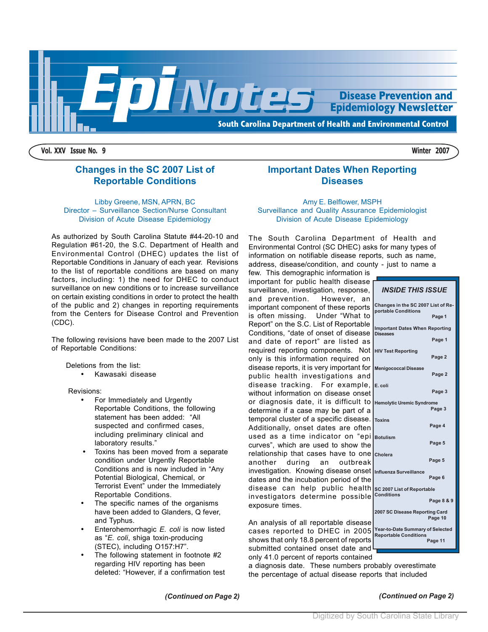

**Vol. XXV Issue No. 9 Winter 2007**

# **Changes in the SC 2007 List of Reportable Conditions**

#### Libby Greene, MSN, APRN, BC Director – Surveillance Section/Nurse Consultant Division of Acute Disease Epidemiology

As authorized by South Carolina Statute #44-20-10 and Regulation #61-20, the S.C. Department of Health and Environmental Control (DHEC) updates the list of Reportable Conditions in January of each year. Revisions to the list of reportable conditions are based on many factors, including: 1) the need for DHEC to conduct surveillance on new conditions or to increase surveillance on certain existing conditions in order to protect the health of the public and 2) changes in reporting requirements from the Centers for Disease Control and Prevention (CDC).

The following revisions have been made to the 2007 List of Reportable Conditions:

Deletions from the list:

• Kawasaki disease

Revisions:

- For Immediately and Urgently Reportable Conditions, the following statement has been added: "All suspected and confirmed cases, including preliminary clinical and laboratory results."
- Toxins has been moved from a separate condition under Urgently Reportable Conditions and is now included in "Any Potential Biological, Chemical, or Terrorist Event" under the Immediately Reportable Conditions.
- The specific names of the organisms have been added to Glanders, Q fever, and Typhus.
- Enterohemorrhagic *E. coli* is now listed as "*E. coli*, shiga toxin-producing (STEC), including O157:H7".
- The following statement in footnote #2 regarding HIV reporting has been deleted: "However, if a confirmation test

**Important Dates When Reporting Diseases**

Amy E. Belflower, MSPH Surveillance and Quality Assurance Epidemiologist Division of Acute Disease Epidemiology

The South Carolina Department of Health and Environmental Control (SC DHEC) asks for many types of information on notifiable disease reports, such as name, address, disease/condition, and county - just to name a

few. This demographic information is important for public health disease surveillance, investigation, response, and prevention. However, an important component of these reports is often missing. Under "What to Report" on the S.C. List of Reportable Conditions, "date of onset of disease and date of report" are listed as required reporting components. Not only is this information required on disease reports, it is very important for public health investigations and disease tracking. For example, without information on disease onset or diagnosis date, it is difficult to determine if a case may be part of a temporal cluster of a specific disease. Additionally, onset dates are often used as a time indicator on "epi curves", which are used to show the relationship that cases have to one another during an outbreak investigation. Knowing disease onset dates and the incubation period of the disease can help public health investigators determine possible exposure times.

An analysis of all reportable disease cases reported to DHEC in 2005 shows that only 18.8 percent of reports submitted contained onset date and only 41.0 percent of reports contained

a diagnosis date. These numbers probably overestimate the percentage of actual disease reports that included

*INSIDE THIS ISSUE* **Changes in the SC 2007 List of Re-**

**Important Dates When Reporting**

**Page 1**

 **Page 1**

 **Page 2**

 **Page 2**

 **Page 3**

 **Page 3**

 **Page 4**

 **Page 5**

 **Page 5**

 **Page 6**

 **Page 8 & 9**

 **Page 10**

 **Page 11**

**portable Conditions**

**HIV Test Reporting**

**Menigococcal Disease**

**Hemolytic Uremic Syndrome**

**Diseases**

**E. coli**

**Toxins**

**Botulism**

**Cholera**

**Conditions**

**Influenza Surveillance**

**SC 2007 List of Reportable**

**2007 SC Disease Reporting Card**

**Year-to-Date Summary of Selected Reportable Conditions**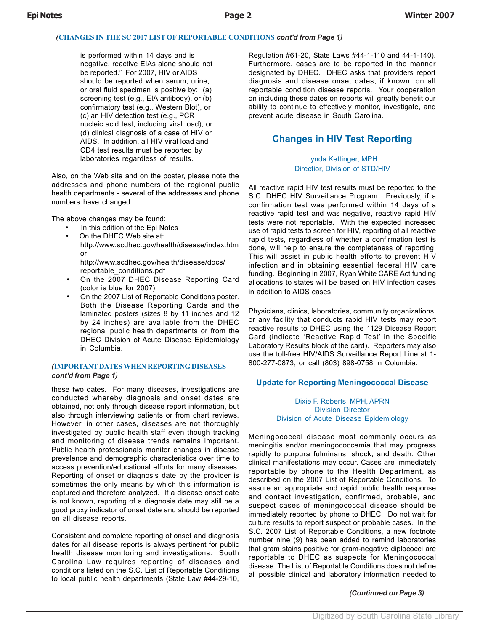#### *(***CHANGES IN THE SC 2007 LIST OF REPORTABLE CONDITIONS** *cont'd from Page 1)*

is performed within 14 days and is negative, reactive EIAs alone should not be reported." For 2007, HIV or AIDS should be reported when serum, urine, or oral fluid specimen is positive by: (a) screening test (e.g., EIA antibody), or (b) confirmatory test (e.g., Western Blot), or (c) an HIV detection test (e.g., PCR nucleic acid test, including viral load), or (d) clinical diagnosis of a case of HIV or AIDS. In addition, all HIV viral load and CD4 test results must be reported by laboratories regardless of results.

Also, on the Web site and on the poster, please note the addresses and phone numbers of the regional public health departments - several of the addresses and phone numbers have changed.

The above changes may be found:

- In this edition of the Epi Notes
- On the DHEC Web site at: http://www.scdhec.gov/health/disease/index.htm or http://www.scdhec.gov/health/disease/docs/
	- reportable\_conditions.pdf • On the 2007 DHEC Disease Reporting Card
- (color is blue for 2007)
- On the 2007 List of Reportable Conditions poster. Both the Disease Reporting Cards and the laminated posters (sizes 8 by 11 inches and 12 by 24 inches) are available from the DHEC regional public health departments or from the DHEC Division of Acute Disease Epidemiology in Columbia.

#### *(***IMPORTANT DATES WHEN REPORTING DISEASES** *cont'd from Page 1)*

these two dates. For many diseases, investigations are conducted whereby diagnosis and onset dates are obtained, not only through disease report information, but also through interviewing patients or from chart reviews. However, in other cases, diseases are not thoroughly investigated by public health staff even though tracking and monitoring of disease trends remains important. Public health professionals monitor changes in disease prevalence and demographic characteristics over time to access prevention/educational efforts for many diseases. Reporting of onset or diagnosis date by the provider is sometimes the only means by which this information is captured and therefore analyzed. If a disease onset date is not known, reporting of a diagnosis date may still be a good proxy indicator of onset date and should be reported on all disease reports.

Consistent and complete reporting of onset and diagnosis dates for all disease reports is always pertinent for public health disease monitoring and investigations. South Carolina Law requires reporting of diseases and conditions listed on the S.C. List of Reportable Conditions to local public health departments (State Law #44-29-10,

Regulation #61-20, State Laws #44-1-110 and 44-1-140). Furthermore, cases are to be reported in the manner designated by DHEC. DHEC asks that providers report diagnosis and disease onset dates, if known, on all reportable condition disease reports. Your cooperation on including these dates on reports will greatly benefit our ability to continue to effectively monitor, investigate, and prevent acute disease in South Carolina.

# **Changes in HIV Test Reporting**

#### Lynda Kettinger, MPH Directior, Division of STD/HIV

All reactive rapid HIV test results must be reported to the S.C. DHEC HIV Surveillance Program. Previously, if a confirmation test was performed within 14 days of a reactive rapid test and was negative, reactive rapid HIV tests were not reportable. With the expected increased use of rapid tests to screen for HIV, reporting of all reactive rapid tests, regardless of whether a confirmation test is done, will help to ensure the completeness of reporting. This will assist in public health efforts to prevent HIV infection and in obtaining essential federal HIV care funding. Beginning in 2007, Ryan White CARE Act funding allocations to states will be based on HIV infection cases in addition to AIDS cases.

Physicians, clinics, laboratories, community organizations, or any facility that conducts rapid HIV tests may report reactive results to DHEC using the 1129 Disease Report Card (indicate 'Reactive Rapid Test' in the Specific Laboratory Results block of the card). Reporters may also use the toll-free HIV/AIDS Surveillance Report Line at 1- 800-277-0873, or call (803) 898-0758 in Columbia.

#### **Update for Reporting Meningococcal Disease**

#### Dixie F. Roberts, MPH, APRN Division Director Division of Acute Disease Epidemiology

Meningococcal disease most commonly occurs as meningitis and/or meningococcemia that may progress rapidly to purpura fulminans, shock, and death. Other clinical manifestations may occur. Cases are immediately reportable by phone to the Health Department, as described on the 2007 List of Reportable Conditions. To assure an appropriate and rapid public health response and contact investigation, confirmed, probable, and suspect cases of meningococcal disease should be immediately reported by phone to DHEC. Do not wait for culture results to report suspect or probable cases. In the S.C. 2007 List of Reportable Conditions, a new footnote number nine (9) has been added to remind laboratories that gram stains positive for gram-negative diplococci are reportable to DHEC as suspects for Meningococcal disease. The List of Reportable Conditions does not define all possible clinical and laboratory information needed to

#### *(Continued on Page 3)*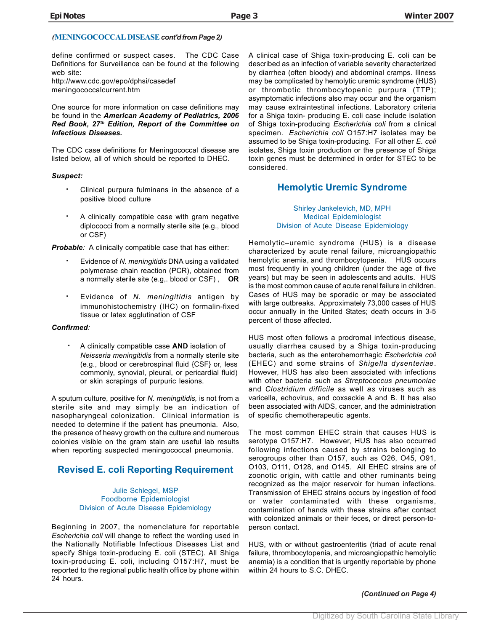# *(***MENINGOCOCCAL DISEASE** *cont'd from Page 2)*

define confirmed or suspect cases. The CDC Case Definitions for Surveillance can be found at the following web site:

http://www.cdc.gov/epo/dphsi/casedef meningococcalcurrent.htm

One source for more information on case definitions may be found in the *American Academy of Pediatrics, 2006 Red Book, 27th Edition, Report of the Committee on Infectious Diseases.*

The CDC case definitions for Meningococcal disease are listed below, all of which should be reported to DHEC.

#### *Suspect:*

- **·** Clinical purpura fulminans in the absence of a positive blood culture
- **·** A clinically compatible case with gram negative diplococci from a normally sterile site (e.g., blood or CSF)

*Probable:* A clinically compatible case that has either:

- **·** Evidence of *N. meningitidis* DNA using a validated polymerase chain reaction (PCR), obtained from a normally sterile site (e.g,. blood or CSF) , **OR**
- **·** Evidence of *N. meningitidis* antigen by immunohistochemistry (IHC) on formalin-fixed tissue or latex agglutination of CSF

#### *Confirmed:*

**·** A clinically compatible case **AND** isolation of *Neisseria meningitidis* from a normally sterile site (e.g., blood or cerebrospinal fluid {CSF} or, less commonly, synovial, pleural, or pericardial fluid) or skin scrapings of purpuric lesions.

A sputum culture, positive for *N. meningitidis,* is not from a sterile site and may simply be an indication of nasopharyngeal colonization. Clinical information is needed to determine if the patient has pneumonia. Also, the presence of heavy growth on the culture and numerous colonies visible on the gram stain are useful lab results when reporting suspected meningococcal pneumonia.

# **Revised E. coli Reporting Requirement**

#### Julie Schlegel, MSP Foodborne Epidemiologist Division of Acute Disease Epidemiology

Beginning in 2007, the nomenclature for reportable *Escherichia coli* will change to reflect the wording used in the Nationally Notifiable Infectious Diseases List and specify Shiga toxin-producing E. coli (STEC). All Shiga toxin-producing E. coli, including O157:H7, must be reported to the regional public health office by phone within 24 hours.

A clinical case of Shiga toxin-producing E. coli can be described as an infection of variable severity characterized by diarrhea (often bloody) and abdominal cramps. Illness may be complicated by hemolytic uremic syndrome (HUS) or thrombotic thrombocytopenic purpura (TTP); asymptomatic infections also may occur and the organism may cause extraintestinal infections. Laboratory criteria for a Shiga toxin- producing E. coli case include isolation of Shiga toxin-producing *Escherichia coli* from a clinical specimen. *Escherichia coli* O157:H7 isolates may be assumed to be Shiga toxin-producing. For all other *E. coli* isolates, Shiga toxin production or the presence of Shiga toxin genes must be determined in order for STEC to be considered.

# **Hemolytic Uremic Syndrome**

Shirley Jankelevich, MD, MPH Medical Epidemiologist Division of Acute Disease Epidemiology

Hemolytic–uremic syndrome (HUS) is a disease characterized by acute renal failure, microangiopathic hemolytic anemia, and thrombocytopenia. HUS occurs most frequently in young children (under the age of five years) but may be seen in adolescents and adults. HUS is the most common cause of acute renal failure in children. Cases of HUS may be sporadic or may be associated with large outbreaks. Approximately 73,000 cases of HUS occur annually in the United States; death occurs in 3-5 percent of those affected.

HUS most often follows a prodromal infectious disease, usually diarrhea caused by a Shiga toxin-producing bacteria, such as the enterohemorrhagic *Escherichia coli* (EHEC) and some strains of *Shigella dysenteriae*. However, HUS has also been associated with infections with other bacteria such as *Streptococcus pneumoniae* and *Clostridium difficile* as well *as* viruses such as varicella, echovirus, and coxsackie A and B. It has also been associated with AIDS, cancer, and the administration of specific chemotherapeutic agents.

The most common EHEC strain that causes HUS is serotype O157:H7. However, HUS has also occurred following infections caused by strains belonging to serogroups other than O157, such as O26, O45, O91, O103, O111, O128, and O145. All EHEC strains are of zoonotic origin, with cattle and other ruminants being recognized as the major reservoir for human infections. Transmission of EHEC strains occurs by ingestion of food or water contaminated with these organisms, contamination of hands with these strains after contact with colonized animals or their feces, or direct person-toperson contact.

HUS, with or without gastroenteritis (triad of acute renal failure, thrombocytopenia, and microangiopathic hemolytic anemia) is a condition that is urgently reportable by phone within 24 hours to S.C. DHEC.

 *(Continued on Page 4)*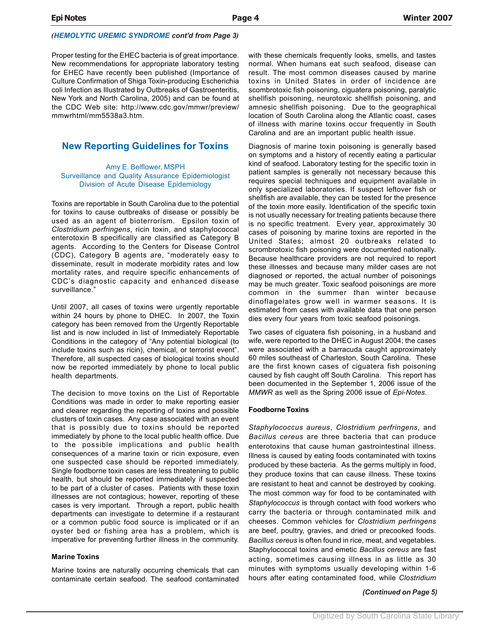#### *(HEMOLYTIC UREMIC SYNDROME cont'd from Page 3)*

Proper testing for the EHEC bacteria is of great importance. New recommendations for appropriate laboratory testing for EHEC have recently been published (Importance of Culture Confirmation of Shiga Toxin-producing Escherichia coli Infection as Illustrated by Outbreaks of Gastroenteritis, New York and North Carolina, 2005) and can be found at the CDC Web site: http://www.cdc.gov/mmwr/preview/ mmwrhtml/mm5538a3.htm.

# **New Reporting Guidelines for Toxins**

#### Amy E. Belflower, MSPH Surveillance and Quality Assurance Epidemiologist Division of Acute Disease Epidemiology

Toxins are reportable in South Carolina due to the potential for toxins to cause outbreaks of disease or possibly be used as an agent of bioterrorism. Epsilon toxin of *Clostridium perfringens*, ricin toxin, and staphylococcal enterotoxin B specifically are classified as Category B agents. According to the Centers for Disease Control (CDC), Category B agents are, "moderately easy to disseminate, result in moderate morbidity rates and low mortality rates, and require specific enhancements of CDC's diagnostic capacity and enhanced disease surveillance."

Until 2007, all cases of toxins were urgently reportable within 24 hours by phone to DHEC. In 2007, the Toxin category has been removed from the Urgently Reportable list and is now included in list of Immediately Reportable Conditions in the category of "Any potential biological (to include toxins such as ricin), chemical, or terrorist event". Therefore, all suspected cases of biological toxins should now be reported immediately by phone to local public health departments.

The decision to move toxins on the List of Reportable Conditions was made in order to make reporting easier and clearer regarding the reporting of toxins and possible clusters of toxin cases. Any case associated with an event that is possibly due to toxins should be reported immediately by phone to the local public health office. Due to the possible implications and public health consequences of a marine toxin or ricin exposure, even one suspected case should be reported immediately. Single foodborne toxin cases are less threatening to public health, but should be reported immediately if suspected to be part of a cluster of cases. Patients with these toxin illnesses are not contagious; however, reporting of these cases is very important. Through a report, public health departments can investigate to determine if a restaurant or a common public food source is implicated or if an oyster bed or fishing area has a problem, which is imperative for preventing further illness in the community.

#### **Marine Toxins**

Marine toxins are naturally occurring chemicals that can contaminate certain seafood. The seafood contaminated with these chemicals frequently looks, smells, and tastes normal. When humans eat such seafood, disease can result. The most common diseases caused by marine toxins in United States in order of incidence are scombrotoxic fish poisoning, ciguatera poisoning, paralytic shellfish poisoning, neurotoxic shellfish poisoning, and amnesic shellfish poisoning. Due to the geographical location of South Carolina along the Atlantic coast, cases of illness with marine toxins occur frequently in South Carolina and are an important public health issue.

Diagnosis of marine toxin poisoning is generally based on symptoms and a history of recently eating a particular kind of seafood. Laboratory testing for the specific toxin in patient samples is generally not necessary because this requires special techniques and equipment available in only specialized laboratories. If suspect leftover fish or shellfish are available, they can be tested for the presence of the toxin more easily. Identification of the specific toxin is not usually necessary for treating patients because there is no specific treatment. Every year, approximately 30 cases of poisoning by marine toxins are reported in the United States; almost 20 outbreaks related to scrombrotoxic fish poisoning were documented nationally. Because healthcare providers are not required to report these illnesses and because many milder cases are not diagnosed or reported, the actual number of poisonings may be much greater. Toxic seafood poisonings are more common in the summer than winter because dinoflagelates grow well in warmer seasons. It is estimated from cases with available data that one person dies every four years from toxic seafood poisonings.

Two cases of ciguatera fish poisoning, in a husband and wife, were reported to the DHEC in August 2004; the cases were associated with a barracuda caught approximately 60 miles southeast of Charleston, South Carolina. These are the first known cases of ciguatera fish poisoning caused by fish caught off South Carolina. This report has been documented in the September 1, 2006 issue of the *MMWR* as well as the Spring 2006 issue of *Epi-Notes.*

#### **Foodborne Toxins**

*Staphylococcus aureus*, *Clostridium perfringens*, and *Bacillus cereus* are three bacteria that can produce enterotoxins that cause human gastrointestinal illness. Illness is caused by eating foods contaminated with toxins produced by these bacteria. As the germs multiply in food, they produce toxins that can cause illness. These toxins are resistant to heat and cannot be destroyed by cooking. The most common way for food to be contaminated with *Staphylococcus* is through contact with food workers who carry the bacteria or through contaminated milk and cheeses. Common vehicles for *Clostridium perfringens* are beef, poultry, gravies, and dried or precooked foods. *Bacillus cereus* is often found in rice, meat, and vegetables. Staphylococcal toxins and emetic *Bacillus cereus* are fast acting, sometimes causing illness in as little as 30 minutes with symptoms usually developing within 1-6 hours after eating contaminated food, while *Clostridium*

 *(Continued on Page 5)*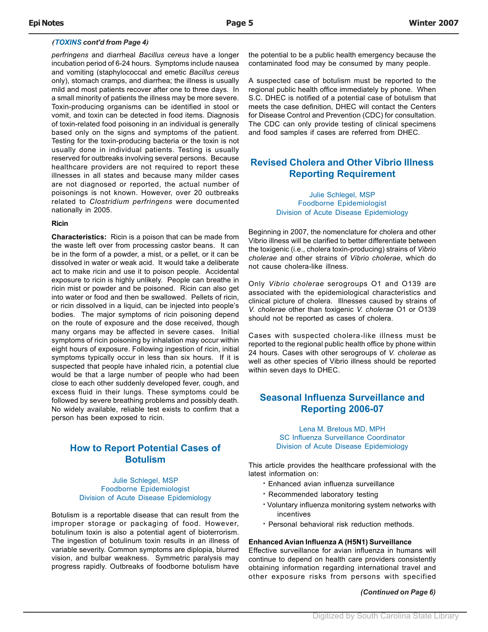#### *(TOXINS cont'd from Page 4)*

*perfringens* and diarrheal *Bacillus cereus* have a longer incubation period of 6-24 hours. Symptoms include nausea and vomiting (staphylococcal and emetic *Bacillus cereus* only), stomach cramps, and diarrhea; the illness is usually mild and most patients recover after one to three days. In a small minority of patients the illness may be more severe. Toxin-producing organisms can be identified in stool or vomit, and toxin can be detected in food items. Diagnosis of toxin-related food poisoning in an individual is generally based only on the signs and symptoms of the patient. Testing for the toxin-producing bacteria or the toxin is not usually done in individual patients. Testing is usually reserved for outbreaks involving several persons. Because healthcare providers are not required to report these illnesses in all states and because many milder cases are not diagnosed or reported, the actual number of poisonings is not known. However, over 20 outbreaks related to *Clostridium perfringens* were documented nationally in 2005.

#### **Ricin**

**Characteristics:** Ricin is a poison that can be made from the waste left over from processing castor beans. It can be in the form of a powder, a mist, or a pellet, or it can be dissolved in water or weak acid. It would take a deliberate act to make ricin and use it to poison people. Accidental exposure to ricin is highly unlikely. People can breathe in ricin mist or powder and be poisoned. Ricin can also get into water or food and then be swallowed. Pellets of ricin, or ricin dissolved in a liquid, can be injected into people's bodies. The major symptoms of ricin poisoning depend on the route of exposure and the dose received, though many organs may be affected in severe cases. Initial symptoms of ricin poisoning by inhalation may occur within eight hours of exposure. Following ingestion of ricin, initial symptoms typically occur in less than six hours. If it is suspected that people have inhaled ricin, a potential clue would be that a large number of people who had been close to each other suddenly developed fever, cough, and excess fluid in their lungs. These symptoms could be followed by severe breathing problems and possibly death. No widely available, reliable test exists to confirm that a person has been exposed to ricin.

# **How to Report Potential Cases of Botulism**

Julie Schlegel, MSP Foodborne Epidemiologist Division of Acute Disease Epidemiology

Botulism is a reportable disease that can result from the improper storage or packaging of food. However, botulinum toxin is also a potential agent of bioterrorism. The ingestion of botulinum toxin results in an illness of variable severity. Common symptoms are diplopia, blurred vision, and bulbar weakness. Symmetric paralysis may progress rapidly. Outbreaks of foodborne botulism have

the potential to be a public health emergency because the contaminated food may be consumed by many people.

A suspected case of botulism must be reported to the regional public health office immediately by phone. When S.C. DHEC is notified of a potential case of botulism that meets the case definition, DHEC will contact the Centers for Disease Control and Prevention (CDC) for consultation. The CDC can only provide testing of clinical specimens and food samples if cases are referred from DHEC.

# **Revised Cholera and Other Vibrio Illness Reporting Requirement**

Julie Schlegel, MSP Foodborne Epidemiologist Division of Acute Disease Epidemiology

Beginning in 2007, the nomenclature for cholera and other Vibrio illness will be clarified to better differentiate between the toxigenic (i.e., cholera toxin-producing) strains of *Vibrio cholerae* and other strains of *Vibrio cholerae*, which do not cause cholera-like illness.

Only *Vibrio cholerae* serogroups O1 and O139 are associated with the epidemiological characteristics and clinical picture of cholera. Illnesses caused by strains of *V. cholerae* other than toxigenic *V. cholerae* O1 or O139 should not be reported as cases of cholera.

Cases with suspected cholera-like illness must be reported to the regional public health office by phone within 24 hours. Cases with other serogroups of *V. cholerae* as well as other species of Vibrio illness should be reported within seven days to DHEC.

# **Seasonal Influenza Surveillance and Reporting 2006-07**

Lena M. Bretous MD, MPH SC Influenza Surveillance Coordinator Division of Acute Disease Epidemiology

This article provides the healthcare professional with the latest information on:

- **·** Enhanced avian influenza surveillance
- **·** Recommended laboratory testing
- **·** Voluntary influenza monitoring system networks with incentives
- **·** Personal behavioral risk reduction methods.

#### **Enhanced Avian Influenza A (H5N1) Surveillance**

Effective surveillance for avian influenza in humans will continue to depend on health care providers consistently obtaining information regarding international travel and other exposure risks from persons with specified

 *(Continued on Page 6)*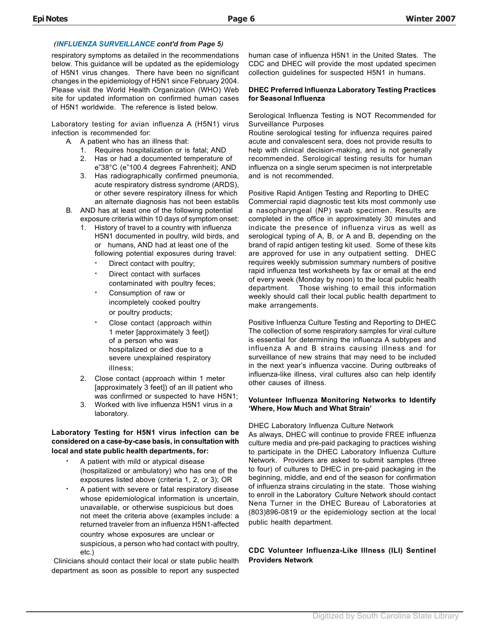### *(INFLUENZA SURVEILLANCE cont'd from Page 5)*

respiratory symptoms as detailed in the recommendations below. This guidance will be updated as the epidemiology of H5N1 virus changes. There have been no significant changes in the epidemiology of H5N1 since February 2004. Please visit the World Health Organization (WHO) Web site for updated information on confirmed human cases of H5N1 worldwide. The reference is listed below.

Laboratory testing for avian influenza A (H5N1) virus infection is recommended for:

- A. A patient who has an illness that:
	- 1. Requires hospitalization or is fatal; AND 2. Has or had a documented temperature of
	- e"38°C (e"100.4 degrees Fahrenheit); AND 3. Has radiographically confirmed pneumonia, acute respiratory distress syndrome (ARDS), or other severe respiratory illness for which an alternate diagnosis has not been establis
- B. AND has at least one of the following potential exposure criteria within 10 days of symptom onset:
	- 1. History of travel to a country with influenza H5N1 documented in poultry, wild birds, and or humans, AND had at least one of the following potential exposures during travel:
		- Direct contact with poultry;
		- Direct contact with surfaces contaminated with poultry feces;
		- **·** Consumption of raw or incompletely cooked poultry or poultry products;
		- **·** Close contact (approach within 1 meter [approximately 3 feet]) of a person who was hospitalized or died due to a severe unexplained respiratory illness;
	- 2. Close contact (approach within 1 meter [approximately 3 feet]) of an ill patient who was confirmed or suspected to have H5N1;
	- 3. Worked with live influenza H5N1 virus in a laboratory.

#### **Laboratory Testing for H5N1 virus infection can be considered on a case-by-case basis, in consultation with local and state public health departments, for:**

- **·** A patient with mild or atypical disease (hospitalized or ambulatory) who has one of the exposures listed above (criteria 1, 2, or 3); OR
- **·** A patient with severe or fatal respiratory disease whose epidemiological information is uncertain, unavailable, or otherwise suspicious but does not meet the criteria above (examples include: a returned traveler from an influenza H5N1-affected country whose exposures are unclear or suspicious, a person who had contact with poultry, etc.)

 Clinicians should contact their local or state public health department as soon as possible to report any suspected

human case of influenza H5N1 in the United States. The CDC and DHEC will provide the most updated specimen collection guidelines for suspected H5N1 in humans.

#### **DHEC Preferred Influenza Laboratory Testing Practices for Seasonal Influenza**

Serological Influenza Testing is NOT Recommended for Surveillance Purposes

Routine serological testing for influenza requires paired acute and convalescent sera, does not provide results to help with clinical decision-making, and is not generally recommended. Serological testing results for human influenza on a single serum specimen is not interpretable and is not recommended.

Positive Rapid Antigen Testing and Reporting to DHEC Commercial rapid diagnostic test kits most commonly use a nasopharyngeal (NP) swab specimen. Results are completed in the office in approximately 30 minutes and indicate the presence of influenza virus as well as serological typing of A, B, or A and B, depending on the brand of rapid antigen testing kit used. Some of these kits are approved for use in any outpatient setting. DHEC requires weekly submission summary numbers of positive rapid influenza test worksheets by fax or email at the end of every week (Monday by noon) to the local public health department. Those wishing to email this information weekly should call their local public health department to make arrangements.

Positive Influenza Culture Testing and Reporting to DHEC The collection of some respiratory samples for viral culture is essential for determining the influenza A subtypes and influenza A and B strains causing illness and for surveillance of new strains that may need to be included in the next year's influenza vaccine. During outbreaks of influenza-like illness, viral cultures also can help identify other causes of illness.

#### **Volunteer Influenza Monitoring Networks to Identify 'Where, How Much and What Strain'**

#### DHEC Laboratory Influenza Culture Network

As always, DHEC will continue to provide FREE influenza culture media and pre-paid packaging to practices wishing to participate in the DHEC Laboratory Influenza Culture Network. Providers are asked to submit samples (three to four) of cultures to DHEC in pre-paid packaging in the beginning, middle, and end of the season for confirmation of influenza strains circulating in the state. Those wishing to enroll in the Laboratory Culture Network should contact Nena Turner in the DHEC Bureau of Laboratories at (803)896-0819 or the epidemiology section at the local public health department.

### **CDC Volunteer Influenza-Like Illness (ILI) Sentinel Providers Network**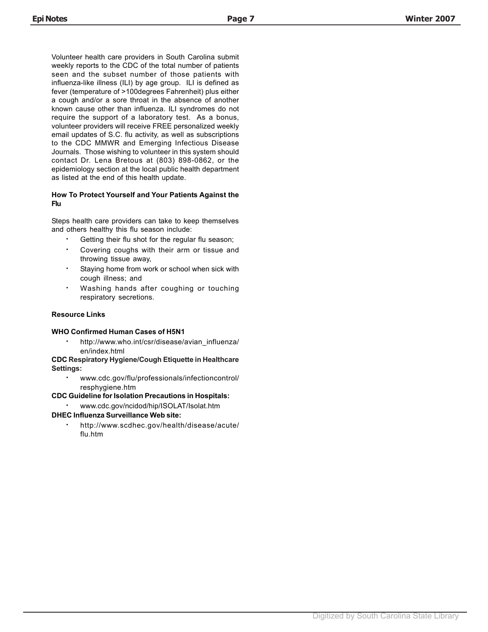Volunteer health care providers in South Carolina submit weekly reports to the CDC of the total number of patients seen and the subset number of those patients with influenza-like illness (ILI) by age group. ILI is defined as fever (temperature of >100degrees Fahrenheit) plus either a cough and/or a sore throat in the absence of another known cause other than influenza. ILI syndromes do not require the support of a laboratory test. As a bonus, volunteer providers will receive FREE personalized weekly email updates of S.C. flu activity, as well as subscriptions to the CDC MMWR and Emerging Infectious Disease Journals. Those wishing to volunteer in this system should contact Dr. Lena Bretous at (803) 898-0862, or the epidemiology section at the local public health department as listed at the end of this health update.

#### **How To Protect Yourself and Your Patients Against the Flu**

Steps health care providers can take to keep themselves and others healthy this flu season include:

- **·** Getting their flu shot for the regular flu season;
- **·** Covering coughs with their arm or tissue and throwing tissue away,
- **·** Staying home from work or school when sick with cough illness; and
- **·** Washing hands after coughing or touching respiratory secretions.

#### **Resource Links**

#### **WHO Confirmed Human Cases of H5N1**

**·** http://www.who.int/csr/disease/avian\_influenza/ en/index.html

**CDC Respiratory Hygiene/Cough Etiquette in Healthcare Settings:**

> **·** www.cdc.gov/flu/professionals/infectioncontrol/ resphygiene.htm

**CDC Guideline for Isolation Precautions in Hospitals:**

**·** www.cdc.gov/ncidod/hip/ISOLAT/Isolat.htm

# **DHEC Influenza Surveillance Web site:**

**·** http://www.scdhec.gov/health/disease/acute/ flu.htm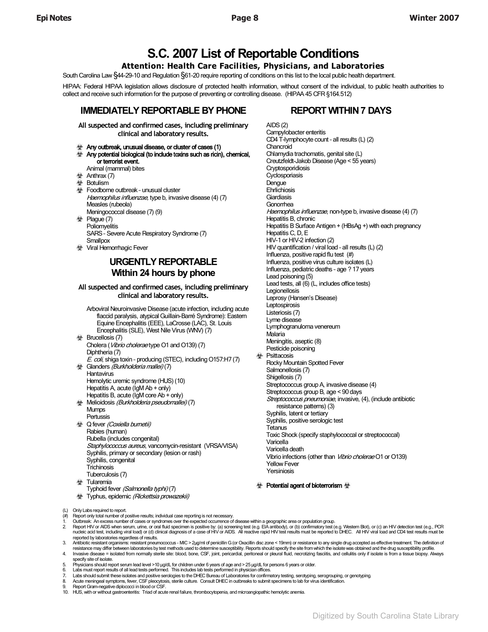# **S.C. 2007 List of Reportable Conditions**

# **Attention: Health Care Facilities, Physicians, and Laboratories**

South Carolina Law §44-29-10 and Regulation §61-20 require reporting of conditions on this list to the local public health department.

HIPAA: Federal HIPAA legislation allows disclosure of protected health information, without consent of the individual, to public health authorities to collect and receive such information for the purpose of preventing or controlling disease. (HIPAA 45 CFR §164.512)

# **IMMEDIATELY REPORTABLE BY PHONE REPORT WITHIN 7 DAYS**

**All suspected and confirmed cases, including preliminary clinical and laboratory results.**

- $\Diamond$  Any outbreak, unusual disease, or cluster of cases (1)
- $\triangleq$  Any potential biological (to include toxins such as ricin), chemical, or terrorist event.
	- Animal (mammal) bites
- $\oint$  Anthrax (7)
- $\bigoplus$  Botulism
- Foodborne outbreak unusual cluster Haemophilus influenzae, type b, invasive disease (4) (7) Measles (rubeola) Meningococcal disease (7) (9)
- $\quad$  Plague (7) **Poliomyelitis**  SARS – Severe Acute Respiratory Syndrome (7) **Smallpox**
- **Viral Hemorrhagic Fever**

# **URGENTLY REPORTABLE Within 24 hours by phone**

#### **All suspected and confirmed cases, including preliminary clinical and laboratory results.**

- Arboviral Neuroinvasive Disease (acute infection, including acute flaccid paralysis, atypical Guillain-Barré Syndrome): Eastern Equine Encephalitis (EEE), LaCrosse (LAC), St. Louis Encephalitis (SLE), West Nile Virus (WNV) (7) **使 Brucellosis (7)**  Cholera (Vibrio cholerae type O1 and O139) (7) Diphtheria (7) E. coli, shiga toxin - producing (STEC), including O157:H7 (7) Glanders (Burkholderia mallei) (7) **Hantavirus**  Hemolytic uremic syndrome (HUS) (10) Hepatitis A, acute (IgM Ab + only) Hepatitis B, acute (IgM core Ab + only)
- $\triangleleft$  Melioidosis (Burkholderia pseudomallei) (7) Mumps **Pertussis**
- Q fever (Coxiella burnetii) Rabies (human) Rubella (includes congenital) Staphylococcus aureus, vancomycin-resistant (VRSAVISA) Syphilis, primary or secondary (lesion or rash) Syphilis, congenital **Trichinosis**  Tuberculosis (7) **使 Tularemia**
- Typhoid fever (Salmonella typhi) (7)
- **External Typhus, epidemic (Rickettsia prowazekii)**

 AIDS (2) Campylobacter enteritis CD4 T-lymphocyte count – all results (L) (2) **Chancroid**  Chlamydia trachomatis, genital site (L) Creutzfeldt-Jakob Disease (Age < 55 years) **Cryptosporidiosis Cyclosporiasis Dengue**  Ehrlichiosis Giardiasis Gonorrhea Haemophilus influenzae, non-type b, invasive disease (4) (7) Hepatitis B, chronic Hepatitis B Surface Antigen + (HBsAg +) with each pregnancy Hepatitis C, D, E HIV-1 or HIV-2 infection (2) HIV quantification / viral load – all results (L) (2) Influenza, positive rapid flu test (#) Influenza, positive virus culture isolates (L) Influenza, pediatric deaths – age ? 17 years Lead poisoning (5) Lead tests, all (6) (L, includes office tests) Legionellosis Leprosy (Hansen's Disease) **Leptospirosis**  Listeriosis (7) Lyme disease Lymphogranuloma venereum Malaria Meningitis, aseptic (8) Pesticide poisoning **Psittacosis**  Rocky Mountain Spotted Fever Salmonellosis (7) Shigellosis (7) Streptococcus group A, invasive disease (4) Streptococcus group B, age < 90 days Streptococcus pneumoniae, invasive, (4), (include antibiotic resistance patterns) (3) Syphilis, latent or tertiary Syphilis, positive serologic test **Tetanus**  Toxic Shock (specify staphylococcal or streptococcal) Varicella Varicella death Vibrio infections (other than Vibrio cholerae O1 or O139) Yellow Fever Yersiniosis  $\circledast$  Potential agent of bioterrorism  $\circledast$ 

- (L) Only Labs required to report.
- (#) Report only total number of positive results; individual case reporting is not necessary.
- 
- 1. Outbreak: An excess number of cases or syndromes over the expected occurrence of disease within a geographic area or population group.<br>2. Report HIV or AIDS when serum, urine, or oral fluid specimen is positive by: (a) reported by laboratories regardless of results.
- 3. Antibiotic resistant organisms: resistant pneumococcus MIC > 2µg/ml of penicillin G (or Oxacillin disc zone < 19mm) or resistance to any single drug accepted as effective treatment. The definition of resistance may differ between laboratories by test methods used to determine susceptibility. Reports should specify the site from which the isolate was obtained and the drug susceptibility profile.
- 4. Invasive disease = isolated from normally sterile site: blood, bone, CSF, joint, pericardial, peritoneal or pleural fluid, necrotizing fasciitis, and cellulitis only if isolate is from a tissue biopsy. Always specify site of isolate.
- 5. Physicians should report serum lead level >10 µg/dL for children under 6 years of age and > 25 µg/dL for persons 6 years or older.<br>6. Labs must report results of all lead tests performed. This includes lab tests perform
- 
- 6. Labs must report results of all lead tests performed. This includes lab tests performed in physician offices.<br>7. Labs should submit these isolates and positive serologies to the DHEC Bureau of Laboratories for confirmat 8. Acute meningeal symptoms, fever, CSF pleocytosis, sterile culture. Consult DHEC in outbreaks to submit specimens to lab for virus identification.
- 
- 9. Report Gram-negative diplococci in blood or CSF. 10. HUS, with or without gastroenteritis: Triad of acute renal failure, thrombocytopenia, and microangiopathic hemolytic anemia.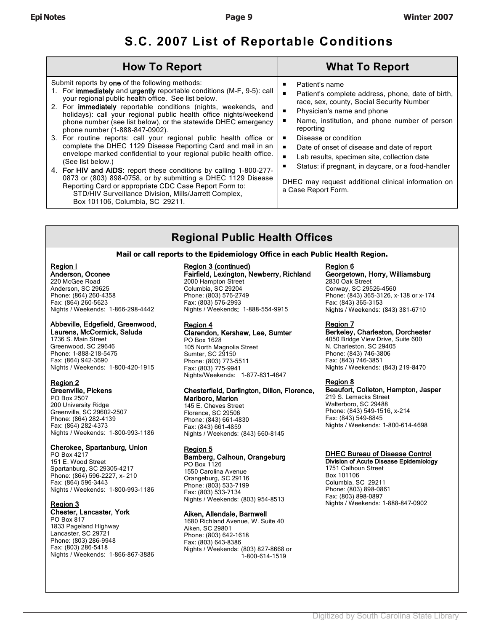# **S.C. 2007 List of Reportable Conditions**

| <b>How To Report</b>                                                                                                                                                                                                                                                                                                                                                                                                                                                                                                                                                                                                                                                                                                                                                                                                                                                                                                                                                                |                                                                                                                                                                                                                                                                                                                                                                                                                                                                        |
|-------------------------------------------------------------------------------------------------------------------------------------------------------------------------------------------------------------------------------------------------------------------------------------------------------------------------------------------------------------------------------------------------------------------------------------------------------------------------------------------------------------------------------------------------------------------------------------------------------------------------------------------------------------------------------------------------------------------------------------------------------------------------------------------------------------------------------------------------------------------------------------------------------------------------------------------------------------------------------------|------------------------------------------------------------------------------------------------------------------------------------------------------------------------------------------------------------------------------------------------------------------------------------------------------------------------------------------------------------------------------------------------------------------------------------------------------------------------|
| Submit reports by one of the following methods:<br>1. For immediately and urgently reportable conditions (M-F, 9-5): call<br>your regional public health office. See list below.<br>2. For <b>immediately</b> reportable conditions (nights, weekends, and<br>holidays): call your regional public health office nights/weekend<br>phone number (see list below), or the statewide DHEC emergency<br>phone number (1-888-847-0902).<br>3. For routine reports: call your regional public health office or<br>complete the DHEC 1129 Disease Reporting Card and mail in an<br>$\blacksquare$<br>envelope marked confidential to your regional public health office.<br>(See list below.)<br>4. For HIV and AIDS: report these conditions by calling 1-800-277-<br>0873 or (803) 898-0758, or by submitting a DHEC 1129 Disease<br>Reporting Card or appropriate CDC Case Report Form to:<br>STD/HIV Surveillance Division, Mills/Jarrett Complex,<br>Box 101106, Columbia, SC 29211. | Patient's name<br>Patient's complete address, phone, date of birth,<br>race, sex, county, Social Security Number<br>Physician's name and phone<br>Name, institution, and phone number of person<br>reporting<br>Disease or condition<br>Date of onset of disease and date of report<br>Lab results, specimen site, collection date<br>Status: if pregnant, in daycare, or a food-handler<br>DHEC may request additional clinical information on<br>a Case Report Form. |

# **Regional Public Health Offices**

#### **Mail or call reports to the Epidemiology Office in each Public Health Region.**

#### Region I Anderson, Oconee

220 McGee Road Anderson, SC 29625 Phone: (864) 260-4358 Fax: (864) 260-5623 Nights / Weekends: 1-866-298-4442

#### Abbeville, Edgefield, Greenwood, Laurens, McCormick, Saluda

1736 S. Main Street Greenwood, SC 29646 Phone: 1-888-218-5475 Fax: (864) 942-3690 Nights / Weekends: 1-800-420-1915

#### Region 2 Greenville, Pickens

PO Box 2507 200 University Ridge Greenville, SC 29602-2507 Phone: (864) 282-4139 Fax: (864) 282-4373 Nights / Weekends: 1-800-993-1186

#### Cherokee, Spartanburg, Union

PO Box 4217 151 E. Wood Street Spartanburg, SC 29305-4217 Phone: (864) 596-2227, x- 210 Fax: (864) 596-3443 Nights / Weekends: 1-800-993-1186

# Region 3

# Chester, Lancaster, York

PO Box 817 1833 Pageland Highway Lancaster, SC 29721 Phone: (803) 286-9948 Fax: (803) 286-5418 Nights / Weekends: 1-866-867-3886

# Region 3 (continued)

#### Fairfield, Lexington, Newberry, Richland

2000 Hampton Street Columbia, SC 29204 Phone: (803) 576-2749 Fax: (803) 576-2993 Nights / Weekends: 1-888-554-9915

#### Region 4

#### Clarendon, Kershaw, Lee, Sumter PO Box 1628

105 North Magnolia Street Sumter, SC 29150 Phone: (803) 773-5511 Fax: (803) 775-9941 Nights/Weekends: 1-877-831-4647

#### Chesterfield, Darlington, Dillon, Florence, Marlboro, Marion

145 E. Cheves Street Florence, SC 29506 Phone: (843) 661-4830 Fax: (843) 661-4859 Nights / Weekends: (843) 660-8145

#### Region 5

Bamberg, Calhoun, Orangeburg PO Box 1126 1550 Carolina Avenue Orangeburg, SC 29116 Phone: (803) 533-7199 Fax: (803) 533-7134 Nights / Weekends: (803) 954-8513

#### Aiken, Allendale, Barnwell

1680 Richland Avenue, W. Suite 40 Aiken, SC 29801 Phone: (803) 642-1618 Fax: (803) 643-8386 Nights / Weekends: (803) 827-8668 or 1-800-614-1519

# Region 6

#### Georgetown, Horry, Williamsburg 2830 Oak Street

Conway, SC 29526-4560 Phone: (843) 365-3126, x-138 or x-174 Fax: (843) 365-3153 Nights / Weekends: (843) 381-6710

#### Region 7

Berkeley, Charleston, Dorchester 4050 Bridge View Drive, Suite 600 N. Charleston, SC 29405 Phone: (843) 746-3806 Fax: (843) 746-3851 Nights / Weekends: (843) 219-8470

#### Region 8

#### Beaufort, Colleton, Hampton, Jasper 219 S. Lemacks Street

Walterboro, SC 29488 Phone: (843) 549-1516, x-214 Fax: (843) 549-6845 Nights / Weekends: 1-800-614-4698

#### DHEC Bureau of Disease Control

Division of Acute Disease Epidemiology 1751 Calhoun Street Box 101106 Columbia, SC 29211 Phone: (803) 898-0861 Fax: (803) 898-0897 Nights / Weekends: 1-888-847-0902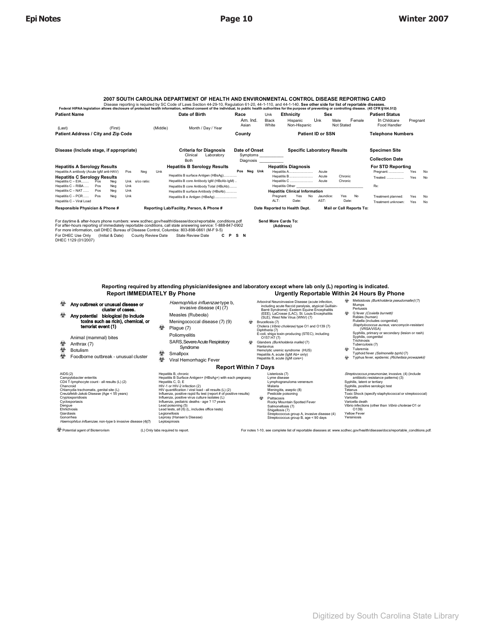#### **2007 SOUTH CAROLINA DEPARTMENT OF HEALTH AND ENVIRONMENTAL CONTROL DISEASE REPORTING CARD**  Disease reporting is required by SC Code of Laws Section 44-29-10, Regulation 61-20, 44-1-110, and 44-1-140. **See other side for list of reportable diseases.**

| Disease reporting is required by GO COUE OF Laws Gection 44-25-10, iNequiation 01-20, 44-1-110, and 44-1-140. Gee Other Stue for hist of reportable diseases.<br>Federal HIPAA legislation allows disclosure of protected health information, without consent of the individual, to public health authorities for the purpose of preventing or controlling disease. (45 CFR §164.512) |                                                           |                                                                                                                                                                                                                                             |                                        |                                                                                                                                                                                                     |                                                                                          |                                                                                                                                                   |
|---------------------------------------------------------------------------------------------------------------------------------------------------------------------------------------------------------------------------------------------------------------------------------------------------------------------------------------------------------------------------------------|-----------------------------------------------------------|---------------------------------------------------------------------------------------------------------------------------------------------------------------------------------------------------------------------------------------------|----------------------------------------|-----------------------------------------------------------------------------------------------------------------------------------------------------------------------------------------------------|------------------------------------------------------------------------------------------|---------------------------------------------------------------------------------------------------------------------------------------------------|
| <b>Patient Name</b>                                                                                                                                                                                                                                                                                                                                                                   |                                                           | Date of Birth                                                                                                                                                                                                                               | Race                                   | <b>Ethnicity</b><br>Unk                                                                                                                                                                             | Sex                                                                                      | <b>Patient Status</b>                                                                                                                             |
| (Last)<br>(First)                                                                                                                                                                                                                                                                                                                                                                     | (Middle)                                                  | Month / Day / Year                                                                                                                                                                                                                          | Am. Ind.<br>Asian                      | Black<br>Hispanic<br>White<br>Non-Hispanic                                                                                                                                                          | Unk<br>Female<br>Male<br>Not Stated                                                      | In Childcare<br>Pregnant<br>Food Handler                                                                                                          |
| Patient Address / City and Zip Code                                                                                                                                                                                                                                                                                                                                                   |                                                           |                                                                                                                                                                                                                                             | County                                 |                                                                                                                                                                                                     | <b>Patient ID or SSN</b>                                                                 | <b>Telephone Numbers</b>                                                                                                                          |
| Disease (Include stage, if appropriate)                                                                                                                                                                                                                                                                                                                                               |                                                           | <b>Criteria for Diagnosis</b><br>Clinical<br>Laboratory<br><b>Both</b>                                                                                                                                                                      | Date of Onset<br>Symptoms<br>Diagnosis |                                                                                                                                                                                                     | <b>Specific Laboratory Results</b>                                                       | <b>Specimen Site</b><br><b>Collection Date</b>                                                                                                    |
| <b>Hepatitis A Serology Results</b><br>Hepatitis A antibody (Acute IgM anti-HAV)<br><b>Hepatitis C Serology Results</b><br>Hepatitis C - EIA Pos<br>Neg<br>Hepatitis C - RIBA<br>Neg<br>Pos<br>Hepatitis C - NAT<br>Neg<br>Pos<br>Hepatitis C - PCR<br>Pos<br>Neg<br>Hepatitis C - Viral Load                                                                                         | Neg<br>Unk<br>Pos<br>Unk s/co ratio:<br>Unk<br>Unk<br>Unk | <b>Hepatitis B Serology Results</b><br>Hepatitis B surface Antigen (HBsAg)<br>Hepatitis B core Antibody IgM (HBcAb-IgM)<br>Hepatitis B core Antibody Total (HBcAb)<br>Hepatitis B surface Antibody (HBsAb)<br>Hepatitis B e Antigen (HBeAg) | Pos Neg Unk                            | <b>Hepatitis Diagnosis</b><br><b>Hepatitis A</b><br>Hepatitis B<br><b>Hepatitis C</b><br><b>Hepatitis Other</b><br><b>Hepatitis Clinical Information</b><br>No<br>Yes<br>Pregnant:<br>ALT:<br>Date: | Acute<br>Chronic<br>Acute<br>Chronic<br>Acute<br>Yes<br>Jaundice:<br>No<br>AST:<br>Date: | For STD Reporting<br>Yes<br>Pregnant:<br>No<br>Yes<br>Treated:<br>No<br>Rx:<br>Yes<br>Treatment planned:<br>No<br>Yes<br>Treatment unknown:<br>No |
| Responsible Physician & Phone #                                                                                                                                                                                                                                                                                                                                                       |                                                           | Reporting Lab/Facility, Person, & Phone #                                                                                                                                                                                                   |                                        | Date Reported to Health Dept.                                                                                                                                                                       | <b>Mail or Call Reports To:</b>                                                          |                                                                                                                                                   |

For daytime & after-hours phone numbers: www.scdhec.gov/health/disease/docs/reportable\_conditions.pdf<br>For after-hours reporting of immediately reportable conditions, call state answering service: 1-888-847-0902<br>For more in

**Send More Cards To: (Address)** 

#### **Reporting required by attending physician/designee and laboratory except where lab only (L) reporting is indicated. Urgently Reportable Within 24 Hours By Phone**

- Any outbreak or unusual disease or
- cluster of cases. Any potential biological (to include toxins such as ricin), chemical, or
- terrorist event (1)
- Animal (mammal) bites<br>  $\oint$  Anthrax (7)
- 堂 Anthrax (7)<br>金 Botulism
- **堂** Botulism

AIDS(2)

Foodborne outbreak – unusual cluster

|                                                                                                                                                                                                                                                                                                                                                    | <b>Report Within 7 Days</b>                                                                                                                                                                                                                                                                                                                                                                                                                                                                                    |   |                                                                                                                                                                                                                                                                                                        |                                                                                                                                                      |  |  |
|----------------------------------------------------------------------------------------------------------------------------------------------------------------------------------------------------------------------------------------------------------------------------------------------------------------------------------------------------|----------------------------------------------------------------------------------------------------------------------------------------------------------------------------------------------------------------------------------------------------------------------------------------------------------------------------------------------------------------------------------------------------------------------------------------------------------------------------------------------------------------|---|--------------------------------------------------------------------------------------------------------------------------------------------------------------------------------------------------------------------------------------------------------------------------------------------------------|------------------------------------------------------------------------------------------------------------------------------------------------------|--|--|
| AIDS(2)<br>Campylobacter enteritis<br>CD4 T-lymphocyte count - all results (L) (2)<br>Chancroid<br>Chlamydia trachomatis, genital site (L)<br>Creutzfeldt-Jakob Disease (Age < 55 years)<br>Cryptosporidiosis<br>Cyclosporiasis<br>Denaue<br>Ehrlichiosis<br>Giardiasis<br>Gonorrhea<br>Haemophilus influenzae, non-type b invasive disease (4)(7) | Hepatitis B. chronic<br>Hepatitis B Surface Antigen+ (HBsAg+) with each pregnancy<br>Hepatitis C. D. E<br>HIV-1 or HIV-2 infection (2)<br>HIV quantification / viral load - all results (L) (2)<br>Influenza, positive rapid flu test (report # of positive results)<br>Influenza, positive virus culture isolates (L)<br>Influenza, pediatric deaths - age ? 17 years<br>Lead poisoning (5)<br>Lead tests, all (6) (L, includes office tests)<br>Legionellosis<br>Leprosy (Hansen's Disease)<br>Leptospirosis | 耐 | Listeriosis (7)<br>Lyme disease<br>Lymphogranuloma venereum<br>Malaria<br>Meningitis, aseptic (8)<br>Pesticide poisoning<br>Psittacosis<br>Rocky Mountain Spotted Fever<br>Salmonellosis (7)<br>Shigellosis (7)<br>Streptococcus group A, invasive disease (4)<br>Streptococcus group B, age < 90 days | Streptoc<br>ant<br>Syphilis.<br>Syphilis,<br>Tetanus<br><b>Toxic Sh</b><br>Varicella<br>Varicella<br>Vibrio in<br>$\Omega$ 1<br>Yellow F<br>Yersinio |  |  |

 Meningococcal disease (7) (9)  $\bullet$  Plague (7) Poliomyelitis SARS, Severe Acute Respiratory

Haemophilus influenzae type b, invasive disease (4) (7) Measles (Rubeola)

- Syndrome Smallpox
- **堂** Viral Hemorrhagic Fever
- Arboviral Neuroinvasive Dissane (acute infercion,<br>including acute flacted paralysis, atypical Guillian-<br>Barré Syntdrome): Eastern Equine Encephalitis<br>(EEE), LaCrosse (LAC), St. Louis Encephalitis<br>(EEE), LaCrosse (LAC), St
- 

# Hemolytic uremic syndrome (HUS) Hepatitis A, acute (IgM Ab+ only) Hepatitis B, acute (IgM core+)

- 4 Melioidois (*Burkholderia pseudomallei)* (7)<br>
Mumps<br>
Pertussis<br>
Chever *(Coxiella burnetti)*<br>
Q fever *(Coxiella burnetti)*<br>
Rabels (human)<br>
Rubella (includes congenital)<br>
Staphylococacs aweus, vancomycin-resistant<br>
Syph Tularemia<br>Typhoid fever (Salmonella typhi) (7)
- I ypnoid fever (Salmonella typhi) (1)<br>
Typhus fever, epidemic *(Richettsia prowazekii)*

Streptococcus pneumoniae, invasive, (4) (include<br>antibiotic resistance patterns) (3)<br>Syphilis, latent or tertiary , ialent or tertlary<br>, positive serologic test Tetanus ,<br>10ck (specify staphylococcal or streptococcal) Varicella<br>Varicella death<br>Vibrio infections (other than *Vibrio cholerae* O1 or<br>Yellow Fever<br>Yersiniosis<br>Yersiniosis

 $\Phi$  Potential agent of Bioterrorism (L) Only labs required to report. For notes 1–10, see complete list of reportable diseases at: www.scdhec.gov/health/disease/docs/reportable\_conditions.pdf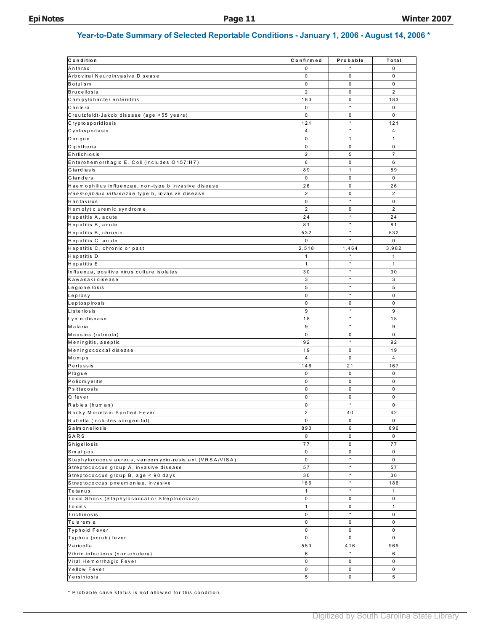# **Year-to-Date Summary of Selected Reportable Conditions - January 1, 2006 - August 14, 2006 \***

| Condition                                                | Confirmed      | Probable         | Total          |
|----------------------------------------------------------|----------------|------------------|----------------|
| Anthrax                                                  | 0              |                  | 0              |
| Arboviral Neuroinvasive Disease                          | 0              | 0                | $\mathbf 0$    |
| B o tu lis m                                             | 0              | 0                | 0              |
| <b>Brucellosis</b>                                       | $\overline{2}$ | 0                | $\overline{2}$ |
| Campylobacter enteriditis                                | 183            | 0                | 183            |
| Cholera                                                  | 0              | $\star$          | $\mathbf 0$    |
| Creutzfeldt-Jakob disease (age <55 years)                | 0              | 0                | $\mathsf 0$    |
| Cryptosporidiosis                                        | 121            | $^\star$         | 121            |
| Cyclosporiasis                                           | 4              | $\star$          | $\overline{4}$ |
| Dengue                                                   | 0              | $\mathbf{1}$     | $\mathbf{1}$   |
| Diphtheria                                               | 0              | 0                | 0              |
| Ehrlichiosis                                             | $\overline{2}$ | 5                | $\overline{7}$ |
| Enterohemorrhagic E. Coli (includes O157:H7)             | 6              | 0                | 6              |
| Giardiasis                                               | 89             | $\mathbf{1}$     | 89             |
| Glanders                                                 | $\mathsf 0$    | 0                | 0              |
| Haemophilius influenzae, non-type b invasive disease     | 26             | 0                | 26             |
| Haemophilus influenzae type b, invasive disease          | $\overline{2}$ | 0                | $\overline{2}$ |
| Hantavirus                                               | 0              | $\star$          | $\mathsf 0$    |
| Hem olytic uremic syndrome                               | $\overline{2}$ | 0                | $\overline{2}$ |
| Hepatitis A, acute                                       | 24             | $\star$          | 24             |
| Hepatitis B, acute                                       | 81             | $\star$          | 81             |
| Hepatitis B, chronic                                     | 532            | $^\star$         | 532            |
| Hepatitis C, acute                                       | $\mathsf 0$    | $\star$          | $\mathbf 0$    |
|                                                          | 2,518          |                  | 3,982          |
| Hepatitis C, chronic or past                             |                | 1,464<br>$\star$ | $\mathbf{1}$   |
| Hepatitis D                                              | $\mathbf{1}$   | $\star$          |                |
| Hepatitis E                                              | $\mathbf{1}$   | $\star$          | $\mathbf{1}$   |
| Influenza, positive virus culture isolates               | 30             | $\star$          | 30             |
| Kawasaki disease                                         | 3              | $\star$          | 3              |
| Legionellosis                                            | 5              |                  | 5              |
| Leprosy                                                  | 0              | $\star$          | $\mathsf 0$    |
| Leptospirosis                                            | 0              | 0                | 0              |
| Listeriosis                                              | 9              | $\star$          | 9              |
| Lyme disease                                             | 18             | $\star$          | 18             |
| Malaria                                                  | 9              | $\star$          | 9              |
| Measles (rubeola)                                        | 0              | 0                | $\mathbf 0$    |
| Meningitis, aseptic                                      | 92             | $\star$          | 92             |
| Meningococcal disease                                    | 19             | 0                | 19             |
| Mumps                                                    | $\overline{4}$ | $\mathbf 0$      | $\overline{4}$ |
| Pertussis                                                | 146            | 21               | 167            |
| Plague                                                   | $\mathbf 0$    | 0                | $\mathbf 0$    |
| Poliom yelitis                                           | 0              | 0                | $\mathbf 0$    |
| Psittacosis                                              | 0              | 0                | $\mathsf 0$    |
| Q fever                                                  | 0              | 0                | $\mathbf 0$    |
| Rabies (human)                                           | 0              | $\star$          | $\mathbf 0$    |
| Rocky Mountain Spotted Fever                             | 2              | 40               | 42             |
| Rubella (includes congenital)                            | 0              | 0                | 0              |
| Salmonellosis                                            | 890            | 6                | 896            |
| SARS                                                     | 0              | 0                | 0              |
| Shigellosis                                              | 77             | 0                | 77             |
| Smallpox                                                 | 0              | 0                | 0              |
| Staphylococcus aureus, vancom ycin-resistant (VRSA/VISA) | $\mathbf 0$    | $\star$          | $\mathbf 0$    |
| Streptococcus group A, invasive disease                  | 57             | $^\star$         | 57             |
| Streptococcus group B, age < 90 days                     | 30             | $\star$          | 30             |
| Streptococcus pneum oniae, invasive                      | 186            | $\star$          | 186            |
| Tetanus                                                  | $\mathbf{1}$   | $\star$          | $\mathbf{1}$   |
| Toxic Shock (Staphylococcal or Streptococcal)            | $\mathsf{O}$   | 0                | 0              |
| Toxins                                                   | $\mathbf{1}$   | 0                | $\mathbf{1}$   |
| Trichinosis                                              | 0              | $\star$          | 0              |
| Tularemia                                                | 0              | 0                | 0              |
| Typhoid Fever                                            | 0              | 0                | 0              |
| Typhus (scrub) fever                                     | 0              | 0                | 0              |
| Varicella                                                | 553            | 416              | 969            |
|                                                          |                | $\star$          | 6              |
| Vibrio infections (non-cholera)                          | 6<br>0         |                  | $\mathbf 0$    |
| Viral Hem orrhagic Fever                                 |                | 0                |                |
| Yellow Fever                                             | 0              | 0                | 0              |
| Yersiniosis                                              | 5              | 0                | 5              |

\* P rob ab le ca se sta tus is n ot allow ed for this co nditio n.